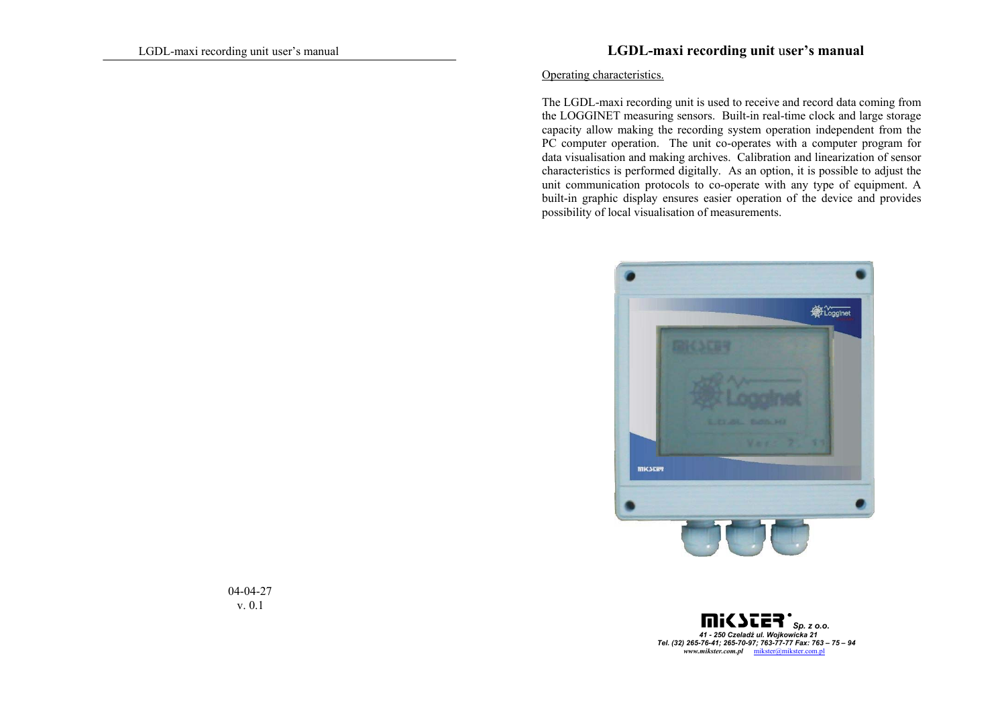### LGDL-maxi recording unit user's manual **LGDL-maxi recording unit** u**ser's manual**

#### Operating characteristics.

The LGDL-maxi recording unit is used to receive and record data coming from the LOGGINET measuring sensors. Built-in real-time clock and large storage capacity allow making the recording system operation independent from the PC computer operation. The unit co-operates with a computer program for data visualisation and making archives. Calibration and linearization of sensor characteristics is performed digitally. As an option, it is possible to adjust the unit communication protocols to co-operate with any type of equipment. A built-in graphic display ensures easier operation of the device and provides possibility of local visualisation of measurements.



ni< *Sp. z o.o. 41 - 250 Czeladź ul. Wojkowicka 21 Tel. (32) 265-76-41; 265-70-97; 763-77-77 Fax: 763 – 75 – 94 www.mikster.com.pl* mikster@mikster.com.pl

 04-04-27 v. 0.1